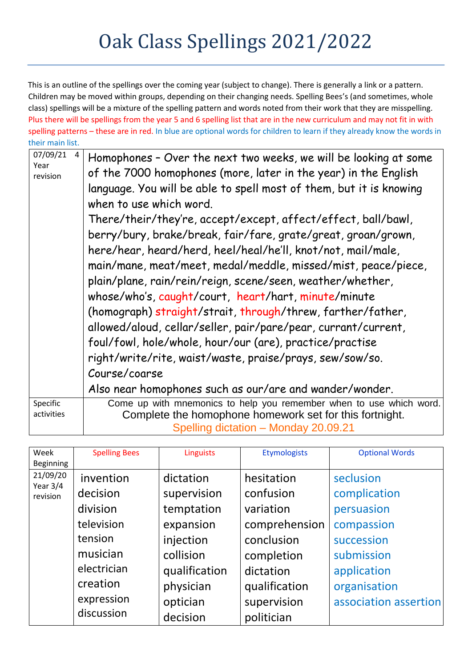## Oak Class Spellings 2021/2022

This is an outline of the spellings over the coming year (subject to change). There is generally a link or a pattern. Children may be moved within groups, depending on their changing needs. Spelling Bees's (and sometimes, whole class) spellings will be a mixture of the spelling pattern and words noted from their work that they are misspelling. Plus there will be spellings from the year 5 and 6 spelling list that are in the new curriculum and may not fit in with spelling patterns – these are in red. In blue are optional words for children to learn if they already know the words in their main list.

| 07/09/21<br>4<br>Year<br>revision | Homophones - Over the next two weeks, we will be looking at some<br>of the 7000 homophones (more, later in the year) in the English<br>language. You will be able to spell most of them, but it is knowing<br>when to use which word.<br>There/their/they're, accept/except, affect/effect, ball/bawl,<br>berry/bury, brake/break, fair/fare, grate/great, groan/grown,<br>here/hear, heard/herd, heel/heal/he'll, knot/not, mail/male,<br>main/mane, meat/meet, medal/meddle, missed/mist, peace/piece,<br>plain/plane, rain/rein/reign, scene/seen, weather/whether,<br>whose/who's, caught/court, heart/hart, minute/minute<br>(homograph) straight/strait, through/threw, farther/father,<br>allowed/aloud, cellar/seller, pair/pare/pear, currant/current,<br>foul/fowl, hole/whole, hour/our (are), practice/practise<br>right/write/rite, waist/waste, praise/prays, sew/sow/so.<br>Course/coarse |  |
|-----------------------------------|----------------------------------------------------------------------------------------------------------------------------------------------------------------------------------------------------------------------------------------------------------------------------------------------------------------------------------------------------------------------------------------------------------------------------------------------------------------------------------------------------------------------------------------------------------------------------------------------------------------------------------------------------------------------------------------------------------------------------------------------------------------------------------------------------------------------------------------------------------------------------------------------------------|--|
|                                   |                                                                                                                                                                                                                                                                                                                                                                                                                                                                                                                                                                                                                                                                                                                                                                                                                                                                                                          |  |
|                                   | Also near homophones such as our/are and wander/wonder.                                                                                                                                                                                                                                                                                                                                                                                                                                                                                                                                                                                                                                                                                                                                                                                                                                                  |  |
| Specific<br>activities            | Come up with mnemonics to help you remember when to use which word.<br>Complete the homophone homework set for this fortnight.<br>Spelling dictation - Monday 20.09.21                                                                                                                                                                                                                                                                                                                                                                                                                                                                                                                                                                                                                                                                                                                                   |  |

| Week<br>Beginning      | <b>Spelling Bees</b> | <b>Linguists</b> | <b>Etymologists</b> | <b>Optional Words</b> |
|------------------------|----------------------|------------------|---------------------|-----------------------|
| 21/09/20               | invention            | dictation        | hesitation          | seclusion             |
| Year $3/4$<br>revision | decision             | supervision      | confusion           | complication          |
|                        | division             | temptation       | variation           | persuasion            |
|                        | television           | expansion        | comprehension       | compassion            |
|                        | tension              | injection        | conclusion          | succession            |
|                        | musician             | collision        | completion          | submission            |
|                        | electrician          | qualification    | dictation           | application           |
|                        | creation             | physician        | qualification       | organisation          |
|                        | expression           | optician         | supervision         | association assertion |
|                        | discussion           | decision         | politician          |                       |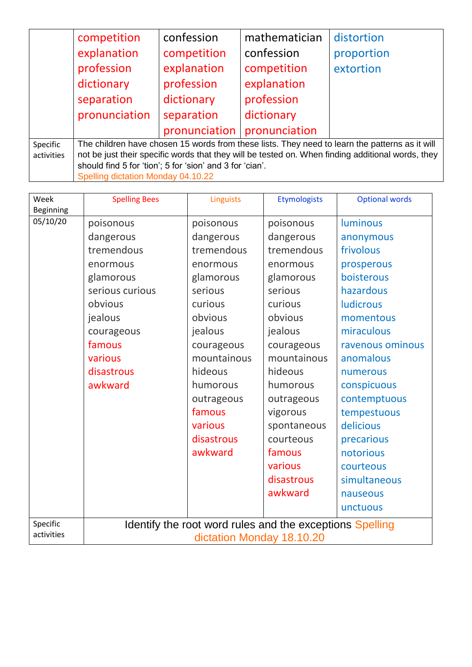|                        | competition                                                                                                                                                                                         | confession    | mathematician | distortion |
|------------------------|-----------------------------------------------------------------------------------------------------------------------------------------------------------------------------------------------------|---------------|---------------|------------|
|                        | explanation                                                                                                                                                                                         | competition   | confession    | proportion |
|                        | profession                                                                                                                                                                                          | explanation   | competition   | extortion  |
|                        | dictionary                                                                                                                                                                                          | profession    | explanation   |            |
|                        | separation                                                                                                                                                                                          | dictionary    | profession    |            |
|                        | pronunciation                                                                                                                                                                                       | separation    | dictionary    |            |
|                        |                                                                                                                                                                                                     | pronunciation | pronunciation |            |
| Specific<br>activities | The children have chosen 15 words from these lists. They need to learn the patterns as it will<br>not be just their specific words that they will be tested on. When finding additional words, they |               |               |            |
|                        | should find 5 for 'tion'; 5 for 'sion' and 3 for 'cian'.<br>Spelling dictation Monday 04.10.22                                                                                                      |               |               |            |

| Week<br>Beginning      | <b>Spelling Bees</b> | Linguists                                                                             | <b>Etymologists</b> | <b>Optional words</b> |
|------------------------|----------------------|---------------------------------------------------------------------------------------|---------------------|-----------------------|
| 05/10/20               | poisonous            | poisonous                                                                             | poisonous           | luminous              |
|                        | dangerous            | dangerous                                                                             | dangerous           | anonymous             |
|                        | tremendous           | tremendous                                                                            | tremendous          | frivolous             |
|                        | enormous             | enormous                                                                              | enormous            | prosperous            |
|                        | glamorous            | glamorous                                                                             | glamorous           | boisterous            |
|                        | serious curious      | serious                                                                               | serious             | hazardous             |
|                        | obvious              | curious                                                                               | curious             | <b>ludicrous</b>      |
|                        | jealous              | obvious                                                                               | obvious             | momentous             |
|                        | courageous           | jealous                                                                               | jealous             | miraculous            |
|                        | famous               | courageous                                                                            | courageous          | ravenous ominous      |
|                        | various              | mountainous                                                                           | mountainous         | anomalous             |
|                        | disastrous           | hideous                                                                               | hideous             | numerous              |
|                        | awkward              | humorous                                                                              | humorous            | conspicuous           |
|                        |                      | outrageous                                                                            | outrageous          | contemptuous          |
|                        |                      | famous                                                                                | vigorous            | tempestuous           |
|                        |                      | various                                                                               | spontaneous         | delicious             |
|                        |                      | disastrous                                                                            | courteous           | precarious            |
|                        |                      | awkward                                                                               | famous              | notorious             |
|                        |                      |                                                                                       | various             | courteous             |
|                        |                      |                                                                                       | disastrous          | simultaneous          |
|                        |                      |                                                                                       | awkward             | nauseous              |
|                        |                      |                                                                                       |                     | unctuous              |
| Specific<br>activities |                      | Identify the root word rules and the exceptions Spelling<br>dictation Monday 18.10.20 |                     |                       |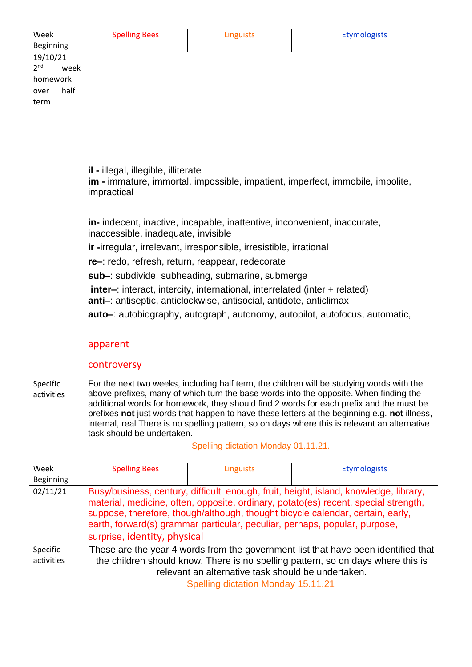| Week                    |  | <b>Spelling Bees</b>                                                                                                                                                             | Linguists                           | <b>Etymologists</b>                                                                           |  |  |
|-------------------------|--|----------------------------------------------------------------------------------------------------------------------------------------------------------------------------------|-------------------------------------|-----------------------------------------------------------------------------------------------|--|--|
| Beginning               |  |                                                                                                                                                                                  |                                     |                                                                                               |  |  |
| 19/10/21                |  |                                                                                                                                                                                  |                                     |                                                                                               |  |  |
| 2 <sup>nd</sup><br>week |  |                                                                                                                                                                                  |                                     |                                                                                               |  |  |
| homework                |  |                                                                                                                                                                                  |                                     |                                                                                               |  |  |
| half<br>over            |  |                                                                                                                                                                                  |                                     |                                                                                               |  |  |
| term                    |  |                                                                                                                                                                                  |                                     |                                                                                               |  |  |
|                         |  |                                                                                                                                                                                  |                                     |                                                                                               |  |  |
|                         |  |                                                                                                                                                                                  |                                     |                                                                                               |  |  |
|                         |  |                                                                                                                                                                                  |                                     |                                                                                               |  |  |
|                         |  |                                                                                                                                                                                  |                                     |                                                                                               |  |  |
|                         |  |                                                                                                                                                                                  |                                     |                                                                                               |  |  |
|                         |  | <b>il</b> - illegal, illegible, illiterate                                                                                                                                       |                                     |                                                                                               |  |  |
|                         |  |                                                                                                                                                                                  |                                     | <b>im</b> - immature, immortal, impossible, impatient, imperfect, immobile, impolite,         |  |  |
|                         |  | impractical                                                                                                                                                                      |                                     |                                                                                               |  |  |
|                         |  |                                                                                                                                                                                  |                                     |                                                                                               |  |  |
|                         |  | in-indecent, inactive, incapable, inattentive, inconvenient, inaccurate,                                                                                                         |                                     |                                                                                               |  |  |
|                         |  | inaccessible, inadequate, invisible                                                                                                                                              |                                     |                                                                                               |  |  |
|                         |  | ir -irregular, irrelevant, irresponsible, irresistible, irrational                                                                                                               |                                     |                                                                                               |  |  |
|                         |  | re-: redo, refresh, return, reappear, redecorate                                                                                                                                 |                                     |                                                                                               |  |  |
|                         |  | sub-: subdivide, subheading, submarine, submerge                                                                                                                                 |                                     |                                                                                               |  |  |
|                         |  | <b>inter-</b> : interact, intercity, international, interrelated (inter + related)                                                                                               |                                     |                                                                                               |  |  |
|                         |  | anti-: antiseptic, anticlockwise, antisocial, antidote, anticlimax                                                                                                               |                                     |                                                                                               |  |  |
|                         |  | <b>auto</b> -: autobiography, autograph, autonomy, autopilot, autofocus, automatic,                                                                                              |                                     |                                                                                               |  |  |
|                         |  |                                                                                                                                                                                  |                                     |                                                                                               |  |  |
|                         |  |                                                                                                                                                                                  |                                     |                                                                                               |  |  |
|                         |  | apparent                                                                                                                                                                         |                                     |                                                                                               |  |  |
|                         |  | controversy                                                                                                                                                                      |                                     |                                                                                               |  |  |
|                         |  |                                                                                                                                                                                  |                                     |                                                                                               |  |  |
| Specific                |  |                                                                                                                                                                                  |                                     | For the next two weeks, including half term, the children will be studying words with the     |  |  |
| activities              |  | above prefixes, many of which turn the base words into the opposite. When finding the<br>additional words for homework, they should find 2 words for each prefix and the must be |                                     |                                                                                               |  |  |
|                         |  |                                                                                                                                                                                  |                                     | prefixes not just words that happen to have these letters at the beginning e.g. not illness,  |  |  |
|                         |  |                                                                                                                                                                                  |                                     | internal, real There is no spelling pattern, so on days where this is relevant an alternative |  |  |
|                         |  | task should be undertaken.                                                                                                                                                       |                                     |                                                                                               |  |  |
|                         |  |                                                                                                                                                                                  | Spelling dictation Monday 01.11.21. |                                                                                               |  |  |
|                         |  |                                                                                                                                                                                  |                                     |                                                                                               |  |  |

| Week                   | <b>Spelling Bees</b>                                                                                                                                                                                                                                                                                                                                                         | <b>Linguists</b> | <b>Etymologists</b> |
|------------------------|------------------------------------------------------------------------------------------------------------------------------------------------------------------------------------------------------------------------------------------------------------------------------------------------------------------------------------------------------------------------------|------------------|---------------------|
| <b>Beginning</b>       |                                                                                                                                                                                                                                                                                                                                                                              |                  |                     |
| 02/11/21               | Busy/business, century, difficult, enough, fruit, height, island, knowledge, library,<br>material, medicine, often, opposite, ordinary, potato(es) recent, special strength,<br>suppose, therefore, though/although, thought bicycle calendar, certain, early,<br>earth, forward(s) grammar particular, peculiar, perhaps, popular, purpose,<br>surprise, identity, physical |                  |                     |
| Specific<br>activities | These are the year 4 words from the government list that have been identified that<br>the children should know. There is no spelling pattern, so on days where this is<br>relevant an alternative task should be undertaken.<br><b>Spelling dictation Monday 15.11.21</b>                                                                                                    |                  |                     |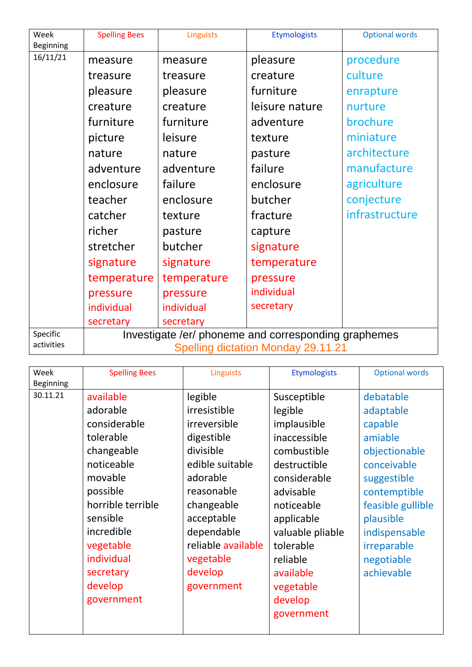| Week<br>Beginning      | <b>Spelling Bees</b> | <b>Linguists</b>                                                                                  | <b>Etymologists</b> | <b>Optional words</b> |
|------------------------|----------------------|---------------------------------------------------------------------------------------------------|---------------------|-----------------------|
| 16/11/21               | measure              | measure                                                                                           | pleasure            | procedure             |
|                        | treasure             | treasure                                                                                          | creature            | culture               |
|                        | pleasure             | pleasure                                                                                          | furniture           | enrapture             |
|                        | creature             | creature                                                                                          | leisure nature      | nurture               |
|                        | furniture            | furniture                                                                                         | adventure           | brochure              |
|                        | picture              | leisure                                                                                           | texture             | miniature             |
|                        | nature               | nature                                                                                            | pasture             | architecture          |
|                        | adventure            | adventure                                                                                         | failure             | manufacture           |
|                        | enclosure            | failure                                                                                           | enclosure           | agriculture           |
|                        | teacher              | enclosure                                                                                         | butcher             | conjecture            |
|                        | catcher              | texture                                                                                           | fracture            | infrastructure        |
|                        | richer               | pasture                                                                                           | capture             |                       |
|                        | stretcher            | butcher                                                                                           | signature           |                       |
|                        | signature            | signature                                                                                         | temperature         |                       |
|                        | temperature          | temperature                                                                                       | pressure            |                       |
|                        | pressure             | pressure                                                                                          | individual          |                       |
|                        | individual           | individual                                                                                        | secretary           |                       |
|                        | secretary            | secretary                                                                                         |                     |                       |
| Specific<br>activities |                      | Investigate /er/ phoneme and corresponding graphemes<br><b>Spelling dictation Monday 29.11.21</b> |                     |                       |

| Week             | <b>Spelling Bees</b> | <b>Linguists</b>   | <b>Etymologists</b> | <b>Optional words</b> |
|------------------|----------------------|--------------------|---------------------|-----------------------|
| <b>Beginning</b> |                      |                    |                     |                       |
| 30.11.21         | available            | legible            | Susceptible         | debatable             |
|                  | adorable             | irresistible       | legible             | adaptable             |
|                  | considerable         | irreversible       | implausible         | capable               |
|                  | tolerable            | digestible         | inaccessible        | amiable               |
|                  | changeable           | divisible          | combustible         | objectionable         |
|                  | noticeable           | edible suitable    | destructible        | conceivable           |
|                  | movable              | adorable           | considerable        | suggestible           |
|                  | possible             | reasonable         | advisable           | contemptible          |
|                  | horrible terrible    | changeable         | noticeable          | feasible gullible     |
|                  | sensible             | acceptable         | applicable          | plausible             |
|                  | incredible           | dependable         | valuable pliable    | indispensable         |
|                  | vegetable            | reliable available | tolerable           | irreparable           |
|                  | individual           | vegetable          | reliable            | negotiable            |
|                  | secretary            | develop            | available           | achievable            |
|                  | develop              | government         | vegetable           |                       |
|                  | government           |                    | develop             |                       |
|                  |                      |                    | government          |                       |
|                  |                      |                    |                     |                       |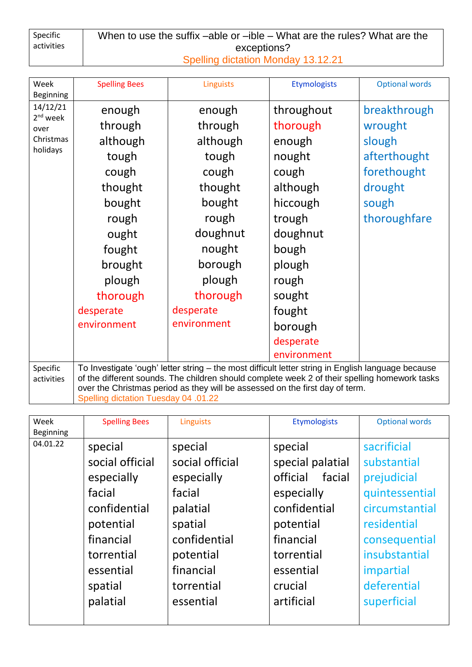| Specific   | When to use the suffix –able or –ible – What are the rules? What are the |  |  |
|------------|--------------------------------------------------------------------------|--|--|
| activities | exceptions?                                                              |  |  |
|            | Spelling dictation Monday 13.12.21                                       |  |  |

| Week                   | <b>Spelling Bees</b> | Linguists                                                                                          | <b>Etymologists</b> | <b>Optional words</b> |
|------------------------|----------------------|----------------------------------------------------------------------------------------------------|---------------------|-----------------------|
| Beginning              |                      |                                                                                                    |                     |                       |
| 14/12/21<br>$2nd$ week | enough               | enough                                                                                             | throughout          | breakthrough          |
| over                   | through              | through                                                                                            | thorough            | wrought               |
| Christmas              | although             | although                                                                                           | enough              | slough                |
| holidays               | tough                | tough                                                                                              | nought              | afterthought          |
|                        | cough                | cough                                                                                              | cough               | forethought           |
|                        | thought              | thought                                                                                            | although            | drought               |
|                        | bought               | bought                                                                                             | hiccough            | sough                 |
|                        | rough                | rough                                                                                              | trough              | thoroughfare          |
|                        | ought                | doughnut                                                                                           | doughnut            |                       |
|                        | fought               | nought                                                                                             | bough               |                       |
|                        | brought              | borough                                                                                            | plough              |                       |
|                        | plough               | plough                                                                                             | rough               |                       |
|                        | thorough             | thorough                                                                                           | sought              |                       |
|                        | desperate            | desperate                                                                                          | fought              |                       |
|                        | environment          | environment                                                                                        | borough             |                       |
|                        |                      |                                                                                                    | desperate           |                       |
|                        |                      |                                                                                                    | environment         |                       |
| Specific               |                      | To Investigate 'ough' letter string - the most difficult letter string in English language because |                     |                       |
| activities             |                      | of the different sounds. The children should complete week 2 of their spelling homework tasks      |                     |                       |
|                        |                      | over the Christmas period as they will be assessed on the first day of term.                       |                     |                       |

Spelling dictation Tuesday 04 .01.22

| Week<br>Beginning | <b>Spelling Bees</b>                                                                                                                           | <b>Linguists</b>                                                                                                                               | <b>Etymologists</b>                                                                                                                                           | <b>Optional words</b>                                                                                                                                                     |
|-------------------|------------------------------------------------------------------------------------------------------------------------------------------------|------------------------------------------------------------------------------------------------------------------------------------------------|---------------------------------------------------------------------------------------------------------------------------------------------------------------|---------------------------------------------------------------------------------------------------------------------------------------------------------------------------|
| 04.01.22          | special<br>social official<br>especially<br>facial<br>confidential<br>potential<br>financial<br>torrential<br>essential<br>spatial<br>palatial | special<br>social official<br>especially<br>facial<br>palatial<br>spatial<br>confidential<br>potential<br>financial<br>torrential<br>essential | special<br>special palatial<br>official<br>facial<br>especially<br>confidential<br>potential<br>financial<br>torrential<br>essential<br>crucial<br>artificial | sacrificial<br>substantial<br>prejudicial<br>quintessential<br>circumstantial<br>residential<br>consequential<br>insubstantial<br>impartial<br>deferential<br>superficial |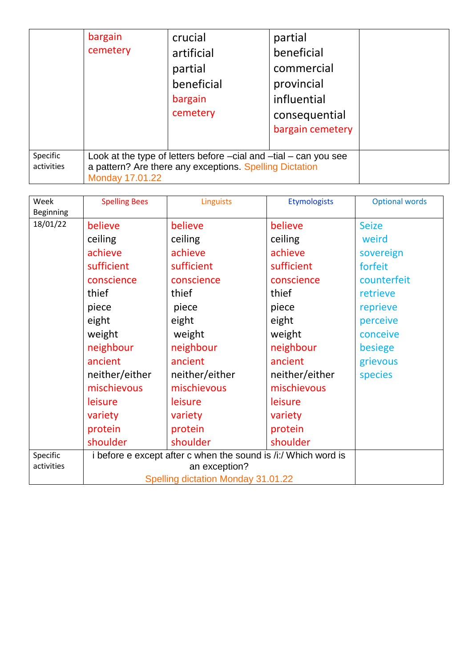|                        | bargain<br>cemetery | crucial<br>artificial<br>partial<br>beneficial<br>bargain<br>cemetery                                                           | partial<br>beneficial<br>commercial<br>provincial<br>influential<br>consequential<br>bargain cemetery |  |
|------------------------|---------------------|---------------------------------------------------------------------------------------------------------------------------------|-------------------------------------------------------------------------------------------------------|--|
| Specific<br>activities | Monday 17.01.22     | Look at the type of letters before $-cial$ and $-tial - can you see$<br>a pattern? Are there any exceptions. Spelling Dictation |                                                                                                       |  |

| Week       | <b>Spelling Bees</b>                                           | <b>Linguists</b> | <b>Etymologists</b> | <b>Optional words</b> |
|------------|----------------------------------------------------------------|------------------|---------------------|-----------------------|
| Beginning  |                                                                |                  |                     |                       |
| 18/01/22   | believe                                                        | believe          | believe             | <b>Seize</b>          |
|            | ceiling                                                        | ceiling          | ceiling             | weird                 |
|            | achieve                                                        | achieve          | achieve             | sovereign             |
|            | sufficient                                                     | sufficient       | sufficient          | forfeit               |
|            | conscience                                                     | conscience       | conscience          | counterfeit           |
|            | thief                                                          | thief            | thief               | retrieve              |
|            | piece                                                          | piece            | piece               | reprieve              |
|            | eight                                                          | eight            | eight               | perceive              |
|            | weight                                                         | weight           | weight              | conceive              |
|            | neighbour                                                      | neighbour        | neighbour           | besiege               |
|            | ancient                                                        | ancient          | ancient             | grievous              |
|            | neither/either                                                 | neither/either   | neither/either      | species               |
|            | mischievous                                                    | mischievous      | mischievous         |                       |
|            | leisure                                                        | leisure          | leisure             |                       |
|            | variety                                                        | variety          | variety             |                       |
|            | protein                                                        | protein          | protein             |                       |
|            | shoulder                                                       | shoulder         | shoulder            |                       |
| Specific   | i before e except after c when the sound is /i:/ Which word is |                  |                     |                       |
| activities | an exception?                                                  |                  |                     |                       |
|            | <b>Spelling dictation Monday 31.01.22</b>                      |                  |                     |                       |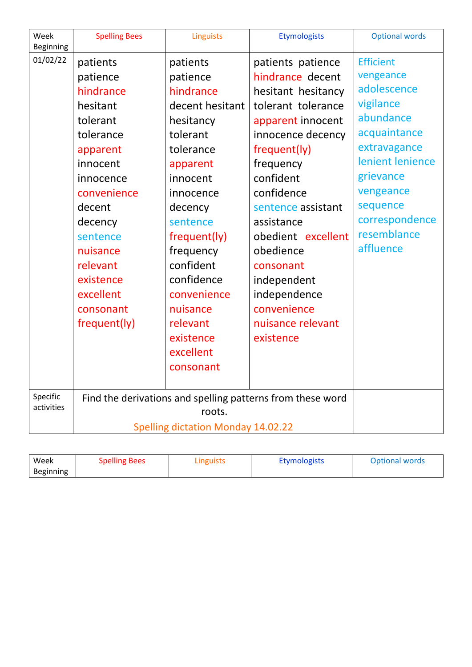| Week<br>Beginning | <b>Spelling Bees</b>                      | <b>Linguists</b> | <b>Etymologists</b>                                        | <b>Optional words</b> |
|-------------------|-------------------------------------------|------------------|------------------------------------------------------------|-----------------------|
| 01/02/22          | patients                                  | patients         | patients patience                                          | <b>Efficient</b>      |
|                   | patience                                  | patience         | hindrance decent                                           | vengeance             |
|                   | hindrance                                 | hindrance        | hesitant hesitancy                                         | adolescence           |
|                   | hesitant                                  | decent hesitant  | tolerant tolerance                                         | vigilance             |
|                   | tolerant                                  | hesitancy        | apparent innocent                                          | abundance             |
|                   | tolerance                                 | tolerant         | innocence decency                                          | acquaintance          |
|                   | apparent                                  | tolerance        | frequent(ly)                                               | extravagance          |
|                   | innocent                                  | apparent         | frequency                                                  | lenient lenience      |
|                   | innocence                                 | innocent         | confident                                                  | grievance             |
|                   | convenience                               | innocence        | confidence                                                 | vengeance             |
|                   | decent                                    | decency          | sentence assistant                                         | sequence              |
|                   | decency                                   | sentence         | assistance                                                 | correspondence        |
|                   | sentence                                  | frequent(ly)     | obedient excellent                                         | resemblance           |
|                   | nuisance                                  | frequency        | obedience                                                  | affluence             |
|                   | relevant                                  | confident        | consonant                                                  |                       |
|                   | existence                                 | confidence       | independent                                                |                       |
|                   | excellent                                 | convenience      | independence                                               |                       |
|                   | consonant                                 | nuisance         | convenience                                                |                       |
|                   | frequent(ly)                              | relevant         | nuisance relevant                                          |                       |
|                   |                                           | existence        | existence                                                  |                       |
|                   |                                           | excellent        |                                                            |                       |
|                   |                                           | consonant        |                                                            |                       |
|                   |                                           |                  |                                                            |                       |
| Specific          |                                           |                  | Find the derivations and spelling patterns from these word |                       |
| activities        |                                           | roots.           |                                                            |                       |
|                   | <b>Spelling dictation Monday 14.02.22</b> |                  |                                                            |                       |

| Week      | <b>Spelling Bees</b> | Linguists | <b>Etymologists</b> | <b>Optional words</b> |
|-----------|----------------------|-----------|---------------------|-----------------------|
| Beginning |                      |           |                     |                       |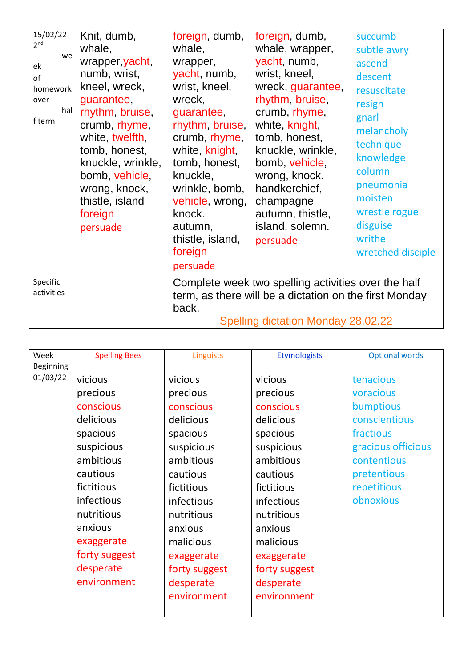| 15/02/22<br>2 <sup>nd</sup><br>we<br>ek<br>of<br>homework<br>over<br>hal<br>f term | Knit, dumb,<br>whale,<br>wrapper, yacht,<br>numb, wrist,<br>kneel, wreck,<br>guarantee,<br>rhythm, bruise,<br>crumb, rhyme,<br>white, twelfth,<br>tomb, honest,<br>knuckle, wrinkle,<br>bomb, vehicle,<br>wrong, knock,<br>thistle, island<br>foreign<br>persuade | foreign, dumb,<br>whale,<br>wrapper,<br>yacht, numb,<br>wrist, kneel,<br>wreck,<br>guarantee,<br>rhythm, bruise,<br>crumb, rhyme,<br>white, knight,<br>tomb, honest,<br>knuckle,<br>wrinkle, bomb,<br>vehicle, wrong,<br>knock.<br>autumn,<br>thistle, island,<br>foreign<br>persuade | foreign, dumb,<br>whale, wrapper,<br>yacht, numb,<br>wrist, kneel,<br>wreck, guarantee,<br>rhythm, bruise,<br>crumb, rhyme,<br>white, knight,<br>tomb, honest,<br>knuckle, wrinkle,<br>bomb, vehicle,<br>wrong, knock.<br>handkerchief,<br>champagne<br>autumn, thistle,<br>island, solemn.<br>persuade | succumb<br>subtle awry<br>ascend<br>descent<br>resuscitate<br>resign<br>gnarl<br>melancholy<br>technique<br>knowledge<br>column<br>pneumonia<br>moisten<br>wrestle rogue<br>disguise<br>writhe<br>wretched disciple |
|------------------------------------------------------------------------------------|-------------------------------------------------------------------------------------------------------------------------------------------------------------------------------------------------------------------------------------------------------------------|---------------------------------------------------------------------------------------------------------------------------------------------------------------------------------------------------------------------------------------------------------------------------------------|---------------------------------------------------------------------------------------------------------------------------------------------------------------------------------------------------------------------------------------------------------------------------------------------------------|---------------------------------------------------------------------------------------------------------------------------------------------------------------------------------------------------------------------|
| Specific<br>activities                                                             |                                                                                                                                                                                                                                                                   | back.                                                                                                                                                                                                                                                                                 | Complete week two spelling activities over the half<br>term, as there will be a dictation on the first Monday<br>Spelling dictation Monday 28.02.22                                                                                                                                                     |                                                                                                                                                                                                                     |

| Week      | <b>Spelling Bees</b> | Linguists     | Etymologists  | <b>Optional words</b> |
|-----------|----------------------|---------------|---------------|-----------------------|
| Beginning |                      |               |               |                       |
| 01/03/22  | vicious              | vicious       | vicious       | tenacious             |
|           | precious             | precious      | precious      | voracious             |
|           | conscious            | conscious     | conscious     | bumptious             |
|           | delicious            | delicious     | delicious     | conscientious         |
|           | spacious             | spacious      | spacious      | fractious             |
|           | suspicious           | suspicious    | suspicious    | gracious officious    |
|           | ambitious            | ambitious     | ambitious     | contentious           |
|           | cautious             | cautious      | cautious      | pretentious           |
|           | fictitious           | fictitious    | fictitious    | repetitious           |
|           | infectious           | infectious    | infectious    | obnoxious             |
|           | nutritious           | nutritious    | nutritious    |                       |
|           | anxious              | anxious       | anxious       |                       |
|           | exaggerate           | malicious     | malicious     |                       |
|           | forty suggest        | exaggerate    | exaggerate    |                       |
|           | desperate            | forty suggest | forty suggest |                       |
|           | environment          | desperate     | desperate     |                       |
|           |                      | environment   | environment   |                       |
|           |                      |               |               |                       |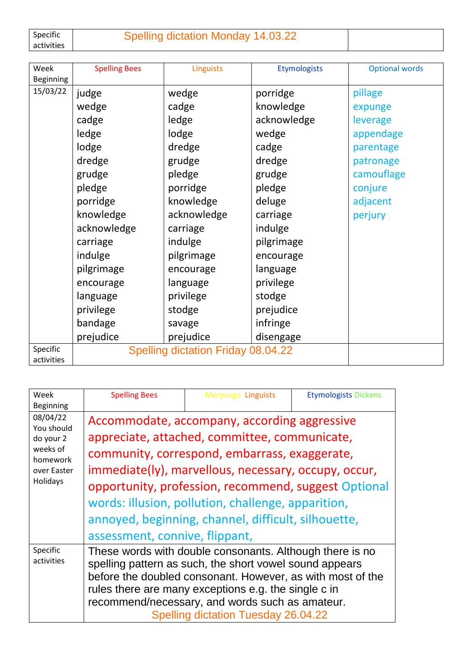Specific activities

## Spelling dictation Monday 14.03.22

| Week             | <b>Spelling Bees</b> | Linguists                                 | <b>Etymologists</b> | <b>Optional words</b> |
|------------------|----------------------|-------------------------------------------|---------------------|-----------------------|
| <b>Beginning</b> |                      |                                           |                     |                       |
| 15/03/22         | judge                | wedge                                     | porridge            | pillage               |
|                  | wedge                | cadge                                     | knowledge           | expunge               |
|                  | cadge                | ledge                                     | acknowledge         | leverage              |
|                  | ledge                | lodge                                     | wedge               | appendage             |
|                  | lodge                | dredge                                    | cadge               | parentage             |
|                  | dredge               | grudge                                    | dredge              | patronage             |
|                  | grudge               | pledge                                    | grudge              | camouflage            |
|                  | pledge               | porridge                                  | pledge              | conjure               |
|                  | porridge             | knowledge                                 | deluge              | adjacent              |
|                  | knowledge            | acknowledge                               | carriage            | perjury               |
|                  | acknowledge          | carriage                                  | indulge             |                       |
|                  | carriage             | indulge                                   | pilgrimage          |                       |
|                  | indulge              | pilgrimage                                | encourage           |                       |
|                  | pilgrimage           | encourage                                 | language            |                       |
|                  | encourage            | language                                  | privilege           |                       |
|                  | language             | privilege                                 | stodge              |                       |
|                  | privilege            | stodge                                    | prejudice           |                       |
|                  | bandage              | savage                                    | infringe            |                       |
|                  | prejudice            | prejudice                                 | disengage           |                       |
| Specific         |                      | <b>Spelling dictation Friday 08.04.22</b> |                     |                       |
| activities       |                      |                                           |                     |                       |

| Week<br><b>Beginning</b>                                                               | <b>Spelling Bees</b>                                                                                                                                                                                                                                                                                                                | Morpurgo Linguists                                                                                                                                                                                                                                                                                                                                                          | <b>Etymologists Dickens</b> |
|----------------------------------------------------------------------------------------|-------------------------------------------------------------------------------------------------------------------------------------------------------------------------------------------------------------------------------------------------------------------------------------------------------------------------------------|-----------------------------------------------------------------------------------------------------------------------------------------------------------------------------------------------------------------------------------------------------------------------------------------------------------------------------------------------------------------------------|-----------------------------|
| 08/04/22<br>You should<br>do your 2<br>weeks of<br>homework<br>over Easter<br>Holidays | assessment, connive, flippant,                                                                                                                                                                                                                                                                                                      | Accommodate, accompany, according aggressive<br>appreciate, attached, committee, communicate,<br>community, correspond, embarrass, exaggerate,<br>immediate(ly), marvellous, necessary, occupy, occur,<br>opportunity, profession, recommend, suggest Optional<br>words: illusion, pollution, challenge, apparition,<br>annoyed, beginning, channel, difficult, silhouette, |                             |
| Specific<br>activities                                                                 | These words with double consonants. Although there is no<br>spelling pattern as such, the short vowel sound appears<br>before the doubled consonant. However, as with most of the<br>rules there are many exceptions e.g. the single c in<br>recommend/necessary, and words such as amateur.<br>Spelling dictation Tuesday 26.04.22 |                                                                                                                                                                                                                                                                                                                                                                             |                             |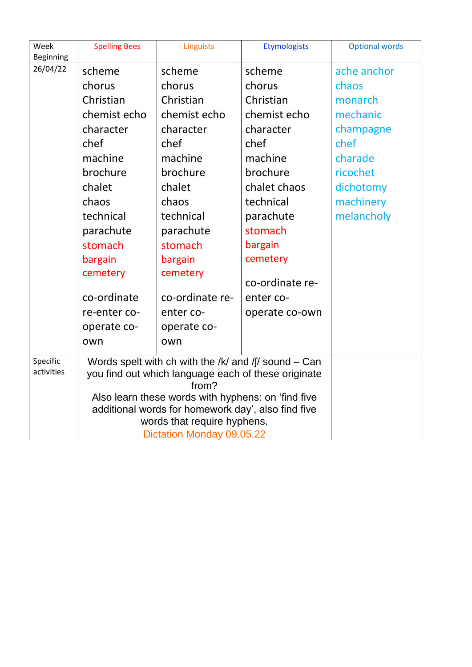| Week                   | <b>Spelling Bees</b> | Linguists                                                                                                                                                                  | <b>Etymologists</b> | <b>Optional words</b> |
|------------------------|----------------------|----------------------------------------------------------------------------------------------------------------------------------------------------------------------------|---------------------|-----------------------|
| Beginning<br>26/04/22  |                      |                                                                                                                                                                            |                     |                       |
|                        | scheme               | scheme                                                                                                                                                                     | scheme              | ache anchor           |
|                        | chorus               | chorus                                                                                                                                                                     | chorus              | chaos                 |
|                        | Christian            | Christian                                                                                                                                                                  | Christian           | monarch               |
|                        | chemist echo         | chemist echo                                                                                                                                                               | chemist echo        | mechanic              |
|                        | character            | character                                                                                                                                                                  | character           | champagne             |
|                        | chef                 | chef                                                                                                                                                                       | chef                | chef                  |
|                        | machine              | machine                                                                                                                                                                    | machine             | charade               |
|                        | brochure             | brochure                                                                                                                                                                   | brochure            | ricochet              |
|                        | chalet               | chalet                                                                                                                                                                     | chalet chaos        | dichotomy             |
|                        | chaos                | chaos                                                                                                                                                                      | technical           | machinery             |
|                        | technical            | technical                                                                                                                                                                  | parachute           | melancholy            |
|                        | parachute            | parachute                                                                                                                                                                  | stomach             |                       |
|                        | stomach              | stomach                                                                                                                                                                    | bargain             |                       |
|                        | bargain              | bargain                                                                                                                                                                    | cemetery            |                       |
|                        | cemetery             | cemetery                                                                                                                                                                   |                     |                       |
|                        |                      |                                                                                                                                                                            | co-ordinate re-     |                       |
|                        | co-ordinate          | co-ordinate re-                                                                                                                                                            | enter co-           |                       |
|                        | re-enter co-         | enter co-                                                                                                                                                                  | operate co-own      |                       |
|                        | operate co-          | operate co-                                                                                                                                                                |                     |                       |
|                        | own                  | own                                                                                                                                                                        |                     |                       |
| Specific<br>activities |                      | Words spelt with ch with the /k/ and /f/ sound – Can<br>you find out which language each of these originate<br>from?<br>Also learn these words with hyphens: on 'find five |                     |                       |
|                        |                      | additional words for homework day', also find five                                                                                                                         |                     |                       |
|                        |                      | words that require hyphens.                                                                                                                                                |                     |                       |
|                        |                      | Dictation Monday 09.05.22                                                                                                                                                  |                     |                       |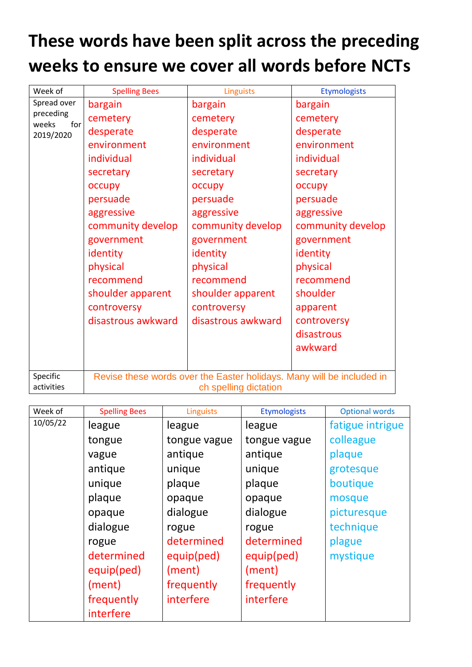## **These words have been split across the preceding weeks to ensure we cover all words before NCTs**

| Week of                   | <b>Spelling Bees</b> | Linguists                                                                                      | <b>Etymologists</b> |
|---------------------------|----------------------|------------------------------------------------------------------------------------------------|---------------------|
| Spread over               | bargain              | bargain                                                                                        | bargain             |
| preceding<br>weeks<br>for | cemetery             | cemetery                                                                                       | cemetery            |
| 2019/2020                 | desperate            | desperate                                                                                      | desperate           |
|                           | environment          | environment                                                                                    | environment         |
|                           | individual           | individual                                                                                     | individual          |
|                           | secretary            | secretary                                                                                      | secretary           |
|                           | occupy               | occupy                                                                                         | occupy              |
|                           | persuade             | persuade                                                                                       | persuade            |
|                           | aggressive           | aggressive                                                                                     | aggressive          |
|                           | community develop    | community develop                                                                              | community develop   |
|                           | government           | government                                                                                     | government          |
|                           | identity             | identity                                                                                       | identity            |
|                           | physical             | physical                                                                                       | physical            |
|                           | recommend            | recommend                                                                                      | recommend           |
|                           | shoulder apparent    | shoulder apparent                                                                              | shoulder            |
|                           | controversy          | controversy                                                                                    | apparent            |
|                           | disastrous awkward   | disastrous awkward                                                                             | controversy         |
|                           |                      |                                                                                                | disastrous          |
|                           |                      |                                                                                                | awkward             |
|                           |                      |                                                                                                |                     |
| Specific<br>activities    |                      | Revise these words over the Easter holidays. Many will be included in<br>ch spelling dictation |                     |

| Week of  | <b>Spelling Bees</b> | <b>Linguists</b> | <b>Etymologists</b> | <b>Optional words</b> |
|----------|----------------------|------------------|---------------------|-----------------------|
| 10/05/22 | league               | league           | league              | fatigue intrigue      |
|          | tongue               | tongue vague     | tongue vague        | colleague             |
|          | vague                | antique          | antique             | plaque                |
|          | antique              | unique           | unique              | grotesque             |
|          | unique               | plaque           | plaque              | boutique              |
|          | plaque               | opaque           | opaque              | mosque                |
|          | opaque               | dialogue         | dialogue            | picturesque           |
|          | dialogue             | rogue            | rogue               | technique             |
|          | rogue                | determined       | determined          | plague                |
|          | determined           | equip(ped)       | equip(ped)          | mystique              |
|          | equip(ped)           | (ment)           | (ment)              |                       |
|          | (ment)               | frequently       | frequently          |                       |
|          | frequently           | interfere        | interfere           |                       |
|          | interfere            |                  |                     |                       |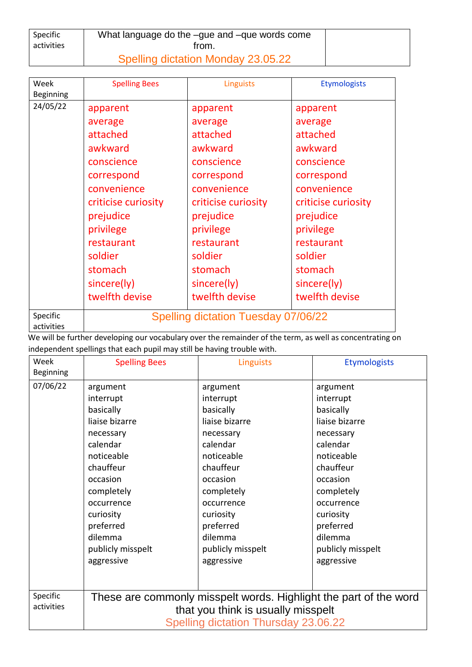| Specific<br>activities | What language do the -gue and -que words come<br>trom. |  |
|------------------------|--------------------------------------------------------|--|
|                        | Spelling dictation Monday 23.05.22                     |  |

| Week<br><b>Beginning</b> | <b>Spelling Bees</b> | <b>Linguists</b>                    | <b>Etymologists</b> |
|--------------------------|----------------------|-------------------------------------|---------------------|
| 24/05/22                 | apparent             | apparent                            | apparent            |
|                          | average              | average                             | average             |
|                          | attached             | attached                            | attached            |
|                          | awkward              | awkward                             | awkward             |
|                          | conscience           | conscience                          | conscience          |
|                          | correspond           | correspond                          | correspond          |
|                          | convenience          | convenience                         | convenience         |
|                          | criticise curiosity  | criticise curiosity                 | criticise curiosity |
|                          | prejudice            | prejudice                           | prejudice           |
|                          | privilege            | privilege                           | privilege           |
|                          | restaurant           | restaurant                          | restaurant          |
|                          | soldier              | soldier                             | soldier             |
|                          | stomach              | stomach                             | stomach             |
|                          | sincere(ly)          | sincere(ly)                         | sincere(ly)         |
|                          | twelfth devise       | twelfth devise                      | twelfth devise      |
| Specific<br>activities   |                      | Spelling dictation Tuesday 07/06/22 |                     |

We will be further developing our vocabulary over the remainder of the term, as well as concentrating on independent spellings that each pupil may still be having trouble with.

| Week             | <b>Spelling Bees</b>                                              | <b>Linguists</b>  | <b>Etymologists</b> |  |
|------------------|-------------------------------------------------------------------|-------------------|---------------------|--|
| <b>Beginning</b> |                                                                   |                   |                     |  |
| 07/06/22         | argument                                                          | argument          | argument            |  |
|                  | interrupt                                                         | interrupt         | interrupt           |  |
|                  | basically                                                         | basically         | basically           |  |
|                  | liaise bizarre                                                    | liaise bizarre    | liaise bizarre      |  |
|                  | necessary                                                         | necessary         | necessary           |  |
|                  | calendar                                                          | calendar          | calendar            |  |
|                  | noticeable                                                        | noticeable        | noticeable          |  |
|                  | chauffeur                                                         | chauffeur         | chauffeur           |  |
|                  | occasion                                                          | occasion          | occasion            |  |
|                  | completely                                                        | completely        | completely          |  |
|                  | occurrence                                                        | occurrence        | occurrence          |  |
|                  | curiosity                                                         | curiosity         | curiosity           |  |
|                  | preferred                                                         | preferred         | preferred           |  |
|                  | dilemma                                                           | dilemma           | dilemma             |  |
|                  | publicly misspelt                                                 | publicly misspelt | publicly misspelt   |  |
|                  | aggressive                                                        | aggressive        | aggressive          |  |
|                  |                                                                   |                   |                     |  |
| Specific         | These are commonly misspelt words. Highlight the part of the word |                   |                     |  |
| activities       | that you think is usually misspelt                                |                   |                     |  |
|                  | <b>Spelling dictation Thursday 23.06.22</b>                       |                   |                     |  |